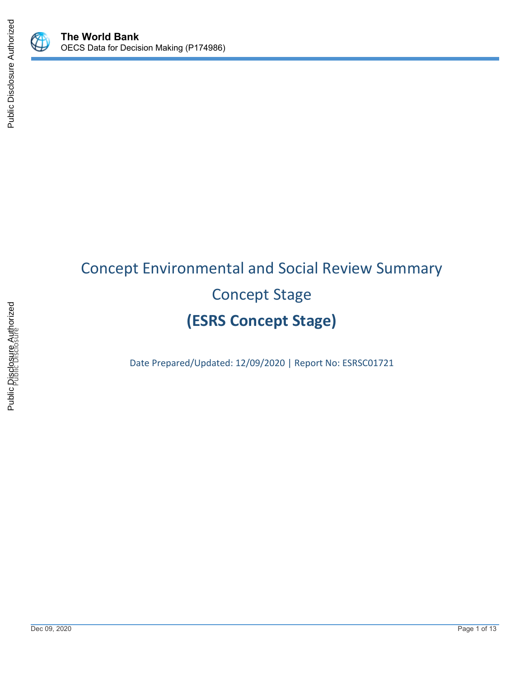



# Concept Environmental and Social Review Summary Concept Stage **(ESRS Concept Stage)**

Date Prepared/Updated: 12/09/2020 | Report No: ESRSC01721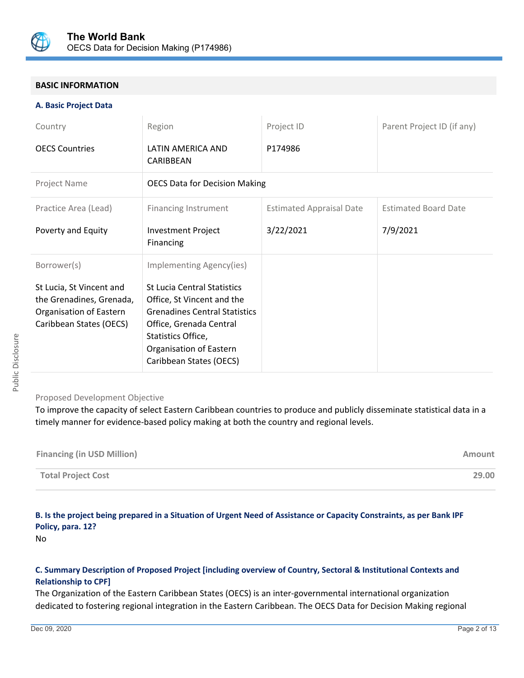

## **BASIC INFORMATION**

#### **A. Basic Project Data**

| Country                                                                                                                   | Region                                                                                                                                                                                                                                      | Project ID                      | Parent Project ID (if any)  |  |
|---------------------------------------------------------------------------------------------------------------------------|---------------------------------------------------------------------------------------------------------------------------------------------------------------------------------------------------------------------------------------------|---------------------------------|-----------------------------|--|
| <b>OECS Countries</b>                                                                                                     | LATIN AMERICA AND<br>CARIBBEAN                                                                                                                                                                                                              | P174986                         |                             |  |
| Project Name                                                                                                              | <b>OECS Data for Decision Making</b>                                                                                                                                                                                                        |                                 |                             |  |
| Practice Area (Lead)                                                                                                      | <b>Financing Instrument</b>                                                                                                                                                                                                                 | <b>Estimated Appraisal Date</b> | <b>Estimated Board Date</b> |  |
| Poverty and Equity                                                                                                        | <b>Investment Project</b><br>Financing                                                                                                                                                                                                      | 3/22/2021                       | 7/9/2021                    |  |
| Borrower(s)<br>St Lucia, St Vincent and<br>the Grenadines, Grenada,<br>Organisation of Eastern<br>Caribbean States (OECS) | Implementing Agency(ies)<br><b>St Lucia Central Statistics</b><br>Office, St Vincent and the<br><b>Grenadines Central Statistics</b><br>Office, Grenada Central<br>Statistics Office,<br>Organisation of Eastern<br>Caribbean States (OECS) |                                 |                             |  |

## Proposed Development Objective

To improve the capacity of select Eastern Caribbean countries to produce and publicly disseminate statistical data in a timely manner for evidence-based policy making at both the country and regional levels.

| <b>Financing (in USD Million)</b> | Amount |
|-----------------------------------|--------|
| <b>Total Project Cost</b>         | 29.00  |

## **B. Is the project being prepared in a Situation of Urgent Need of Assistance or Capacity Constraints, as per Bank IPF Policy, para. 12?**

No

## **C. Summary Description of Proposed Project [including overview of Country, Sectoral & Institutional Contexts and Relationship to CPF]**

The Organization of the Eastern Caribbean States (OECS) is an inter-governmental international organization dedicated to fostering regional integration in the Eastern Caribbean. The OECS Data for Decision Making regional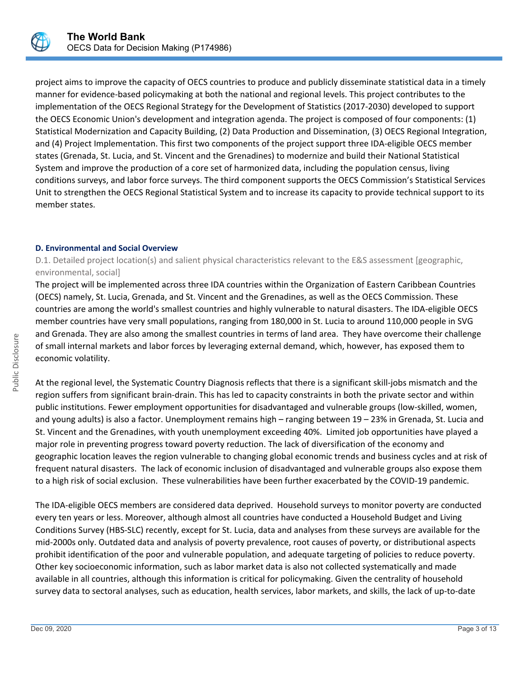

project aims to improve the capacity of OECS countries to produce and publicly disseminate statistical data in a timely manner for evidence-based policymaking at both the national and regional levels. This project contributes to the implementation of the OECS Regional Strategy for the Development of Statistics (2017-2030) developed to support the OECS Economic Union's development and integration agenda. The project is composed of four components: (1) Statistical Modernization and Capacity Building, (2) Data Production and Dissemination, (3) OECS Regional Integration, and (4) Project Implementation. This first two components of the project support three IDA-eligible OECS member states (Grenada, St. Lucia, and St. Vincent and the Grenadines) to modernize and build their National Statistical System and improve the production of a core set of harmonized data, including the population census, living conditions surveys, and labor force surveys. The third component supports the OECS Commission's Statistical Services Unit to strengthen the OECS Regional Statistical System and to increase its capacity to provide technical support to its member states.

#### **D. Environmental and Social Overview**

D.1. Detailed project location(s) and salient physical characteristics relevant to the E&S assessment [geographic, environmental, social]

The project will be implemented across three IDA countries within the Organization of Eastern Caribbean Countries (OECS) namely, St. Lucia, Grenada, and St. Vincent and the Grenadines, as well as the OECS Commission. These countries are among the world's smallest countries and highly vulnerable to natural disasters. The IDA-eligible OECS member countries have very small populations, ranging from 180,000 in St. Lucia to around 110,000 people in SVG and Grenada. They are also among the smallest countries in terms of land area. They have overcome their challenge of small internal markets and labor forces by leveraging external demand, which, however, has exposed them to economic volatility.

At the regional level, the Systematic Country Diagnosis reflects that there is a significant skill-jobs mismatch and the region suffers from significant brain-drain. This has led to capacity constraints in both the private sector and within public institutions. Fewer employment opportunities for disadvantaged and vulnerable groups (low-skilled, women, and young adults) is also a factor. Unemployment remains high – ranging between 19 – 23% in Grenada, St. Lucia and St. Vincent and the Grenadines, with youth unemployment exceeding 40%. Limited job opportunities have played a major role in preventing progress toward poverty reduction. The lack of diversification of the economy and geographic location leaves the region vulnerable to changing global economic trends and business cycles and at risk of frequent natural disasters. The lack of economic inclusion of disadvantaged and vulnerable groups also expose them to a high risk of social exclusion. These vulnerabilities have been further exacerbated by the COVID-19 pandemic.

The IDA-eligible OECS members are considered data deprived. Household surveys to monitor poverty are conducted every ten years or less. Moreover, although almost all countries have conducted a Household Budget and Living Conditions Survey (HBS-SLC) recently, except for St. Lucia, data and analyses from these surveys are available for the mid-2000s only. Outdated data and analysis of poverty prevalence, root causes of poverty, or distributional aspects prohibit identification of the poor and vulnerable population, and adequate targeting of policies to reduce poverty. Other key socioeconomic information, such as labor market data is also not collected systematically and made available in all countries, although this information is critical for policymaking. Given the centrality of household survey data to sectoral analyses, such as education, health services, labor markets, and skills, the lack of up-to-date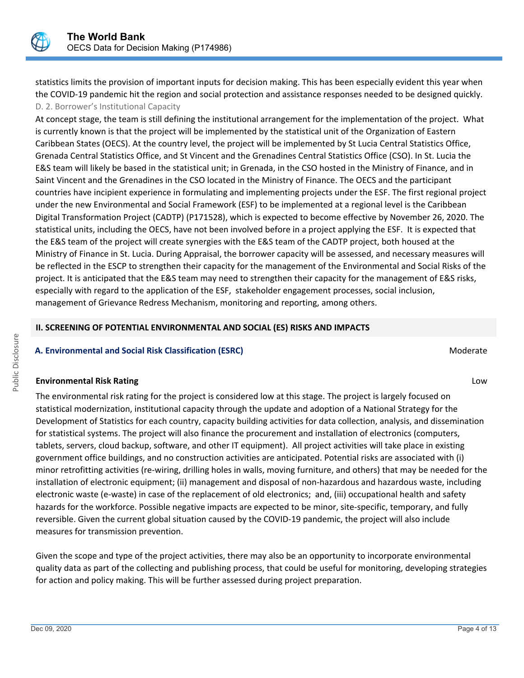statistics limits the provision of important inputs for decision making. This has been especially evident this year when the COVID-19 pandemic hit the region and social protection and assistance responses needed to be designed quickly. D. 2. Borrower's Institutional Capacity

At concept stage, the team is still defining the institutional arrangement for the implementation of the project. What is currently known is that the project will be implemented by the statistical unit of the Organization of Eastern Caribbean States (OECS). At the country level, the project will be implemented by St Lucia Central Statistics Office, Grenada Central Statistics Office, and St Vincent and the Grenadines Central Statistics Office (CSO). In St. Lucia the E&S team will likely be based in the statistical unit; in Grenada, in the CSO hosted in the Ministry of Finance, and in Saint Vincent and the Grenadines in the CSO located in the Ministry of Finance. The OECS and the participant countries have incipient experience in formulating and implementing projects under the ESF. The first regional project under the new Environmental and Social Framework (ESF) to be implemented at a regional level is the Caribbean Digital Transformation Project (CADTP) (P171528), which is expected to become effective by November 26, 2020. The statistical units, including the OECS, have not been involved before in a project applying the ESF. It is expected that the E&S team of the project will create synergies with the E&S team of the CADTP project, both housed at the Ministry of Finance in St. Lucia. During Appraisal, the borrower capacity will be assessed, and necessary measures will be reflected in the ESCP to strengthen their capacity for the management of the Environmental and Social Risks of the project. It is anticipated that the E&S team may need to strengthen their capacity for the management of E&S risks, especially with regard to the application of the ESF, stakeholder engagement processes, social inclusion, management of Grievance Redress Mechanism, monitoring and reporting, among others.

#### **II. SCREENING OF POTENTIAL ENVIRONMENTAL AND SOCIAL (ES) RISKS AND IMPACTS**

## **A. Environmental and Social Risk Classification (ESRC)** and a set of the set of the Moderate of the Moderate of the Moderate of the Moderate of the Moderate of the Moderate of the Moderate of the Moderate of the Moderate

#### **Environmental Risk Rating** Low

The environmental risk rating for the project is considered low at this stage. The project is largely focused on statistical modernization, institutional capacity through the update and adoption of a National Strategy for the Development of Statistics for each country, capacity building activities for data collection, analysis, and dissemination for statistical systems. The project will also finance the procurement and installation of electronics (computers, tablets, servers, cloud backup, software, and other IT equipment). All project activities will take place in existing government office buildings, and no construction activities are anticipated. Potential risks are associated with (i) minor retrofitting activities (re-wiring, drilling holes in walls, moving furniture, and others) that may be needed for the installation of electronic equipment; (ii) management and disposal of non-hazardous and hazardous waste, including electronic waste (e-waste) in case of the replacement of old electronics; and, (iii) occupational health and safety hazards for the workforce. Possible negative impacts are expected to be minor, site-specific, temporary, and fully reversible. Given the current global situation caused by the COVID-19 pandemic, the project will also include measures for transmission prevention.

Given the scope and type of the project activities, there may also be an opportunity to incorporate environmental quality data as part of the collecting and publishing process, that could be useful for monitoring, developing strategies for action and policy making. This will be further assessed during project preparation.

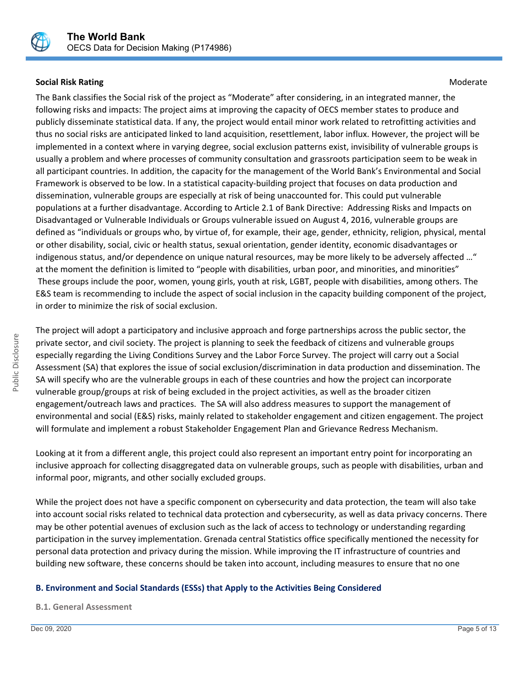

## **Social Risk Rating Moderate Social Risk Rating Moderate** Controllering Controllering Controllering Controllering Controllering Controllering Controllering Controllering Controllering Controllering Controllering Controller

The Bank classifies the Social risk of the project as "Moderate" after considering, in an integrated manner, the following risks and impacts: The project aims at improving the capacity of OECS member states to produce and publicly disseminate statistical data. If any, the project would entail minor work related to retrofitting activities and thus no social risks are anticipated linked to land acquisition, resettlement, labor influx. However, the project will be implemented in a context where in varying degree, social exclusion patterns exist, invisibility of vulnerable groups is usually a problem and where processes of community consultation and grassroots participation seem to be weak in all participant countries. In addition, the capacity for the management of the World Bank's Environmental and Social Framework is observed to be low. In a statistical capacity-building project that focuses on data production and dissemination, vulnerable groups are especially at risk of being unaccounted for. This could put vulnerable populations at a further disadvantage. According to Article 2.1 of Bank Directive: Addressing Risks and Impacts on Disadvantaged or Vulnerable Individuals or Groups vulnerable issued on August 4, 2016, vulnerable groups are defined as "individuals or groups who, by virtue of, for example, their age, gender, ethnicity, religion, physical, mental or other disability, social, civic or health status, sexual orientation, gender identity, economic disadvantages or indigenous status, and/or dependence on unique natural resources, may be more likely to be adversely affected …" at the moment the definition is limited to "people with disabilities, urban poor, and minorities, and minorities" These groups include the poor, women, young girls, youth at risk, LGBT, people with disabilities, among others. The E&S team is recommending to include the aspect of social inclusion in the capacity building component of the project, in order to minimize the risk of social exclusion.

The project will adopt a participatory and inclusive approach and forge partnerships across the public sector, the private sector, and civil society. The project is planning to seek the feedback of citizens and vulnerable groups especially regarding the Living Conditions Survey and the Labor Force Survey. The project will carry out a Social Assessment (SA) that explores the issue of social exclusion/discrimination in data production and dissemination. The SA will specify who are the vulnerable groups in each of these countries and how the project can incorporate vulnerable group/groups at risk of being excluded in the project activities, as well as the broader citizen engagement/outreach laws and practices. The SA will also address measures to support the management of environmental and social (E&S) risks, mainly related to stakeholder engagement and citizen engagement. The project will formulate and implement a robust Stakeholder Engagement Plan and Grievance Redress Mechanism.

Looking at it from a different angle, this project could also represent an important entry point for incorporating an inclusive approach for collecting disaggregated data on vulnerable groups, such as people with disabilities, urban and informal poor, migrants, and other socially excluded groups.

While the project does not have a specific component on cybersecurity and data protection, the team will also take into account social risks related to technical data protection and cybersecurity, as well as data privacy concerns. There may be other potential avenues of exclusion such as the lack of access to technology or understanding regarding participation in the survey implementation. Grenada central Statistics office specifically mentioned the necessity for personal data protection and privacy during the mission. While improving the IT infrastructure of countries and building new software, these concerns should be taken into account, including measures to ensure that no one

## **B. Environment and Social Standards (ESSs) that Apply to the Activities Being Considered**

**B.1. General Assessment**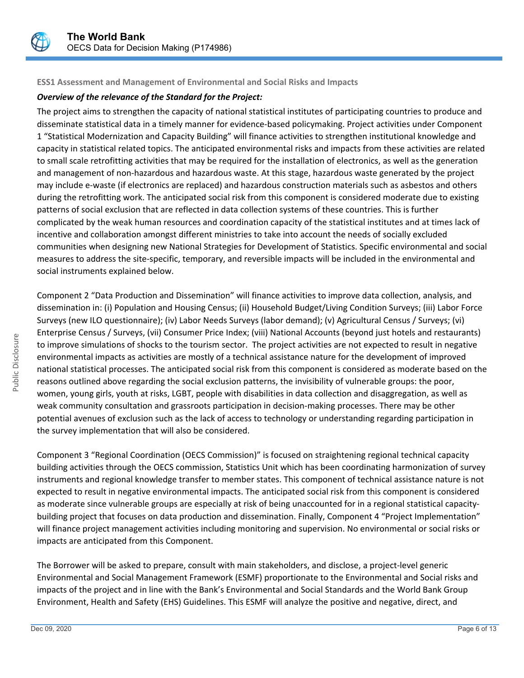

## **ESS1 Assessment and Management of Environmental and Social Risks and Impacts**

## *Overview of the relevance of the Standard for the Project:*

The project aims to strengthen the capacity of national statistical institutes of participating countries to produce and disseminate statistical data in a timely manner for evidence-based policymaking. Project activities under Component 1 "Statistical Modernization and Capacity Building" will finance activities to strengthen institutional knowledge and capacity in statistical related topics. The anticipated environmental risks and impacts from these activities are related to small scale retrofitting activities that may be required for the installation of electronics, as well as the generation and management of non-hazardous and hazardous waste. At this stage, hazardous waste generated by the project may include e-waste (if electronics are replaced) and hazardous construction materials such as asbestos and others during the retrofitting work. The anticipated social risk from this component is considered moderate due to existing patterns of social exclusion that are reflected in data collection systems of these countries. This is further complicated by the weak human resources and coordination capacity of the statistical institutes and at times lack of incentive and collaboration amongst different ministries to take into account the needs of socially excluded communities when designing new National Strategies for Development of Statistics. Specific environmental and social measures to address the site-specific, temporary, and reversible impacts will be included in the environmental and social instruments explained below.

Component 2 "Data Production and Dissemination" will finance activities to improve data collection, analysis, and dissemination in: (i) Population and Housing Census; (ii) Household Budget/Living Condition Surveys; (iii) Labor Force Surveys (new ILO questionnaire); (iv) Labor Needs Surveys (labor demand); (v) Agricultural Census / Surveys; (vi) Enterprise Census / Surveys, (vii) Consumer Price Index; (viii) National Accounts (beyond just hotels and restaurants) to improve simulations of shocks to the tourism sector. The project activities are not expected to result in negative environmental impacts as activities are mostly of a technical assistance nature for the development of improved national statistical processes. The anticipated social risk from this component is considered as moderate based on the reasons outlined above regarding the social exclusion patterns, the invisibility of vulnerable groups: the poor, women, young girls, youth at risks, LGBT, people with disabilities in data collection and disaggregation, as well as weak community consultation and grassroots participation in decision-making processes. There may be other potential avenues of exclusion such as the lack of access to technology or understanding regarding participation in the survey implementation that will also be considered.

Component 3 "Regional Coordination (OECS Commission)" is focused on straightening regional technical capacity building activities through the OECS commission, Statistics Unit which has been coordinating harmonization of survey instruments and regional knowledge transfer to member states. This component of technical assistance nature is not expected to result in negative environmental impacts. The anticipated social risk from this component is considered as moderate since vulnerable groups are especially at risk of being unaccounted for in a regional statistical capacitybuilding project that focuses on data production and dissemination. Finally, Component 4 "Project Implementation" will finance project management activities including monitoring and supervision. No environmental or social risks or impacts are anticipated from this Component.

The Borrower will be asked to prepare, consult with main stakeholders, and disclose, a project-level generic Environmental and Social Management Framework (ESMF) proportionate to the Environmental and Social risks and impacts of the project and in line with the Bank's Environmental and Social Standards and the World Bank Group Environment, Health and Safety (EHS) Guidelines. This ESMF will analyze the positive and negative, direct, and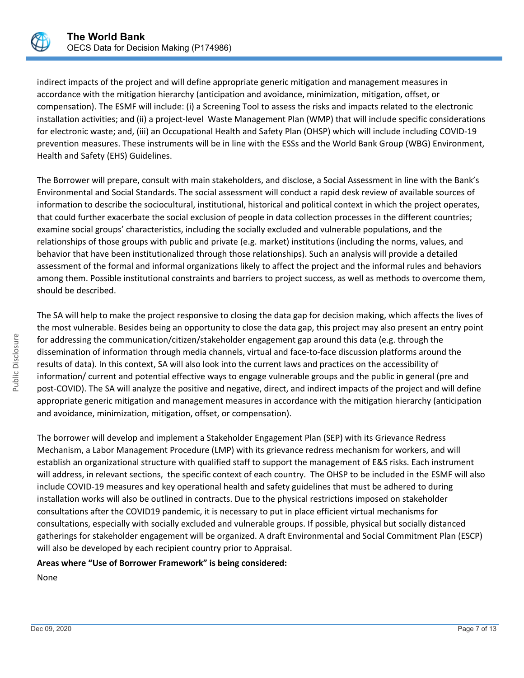

indirect impacts of the project and will define appropriate generic mitigation and management measures in accordance with the mitigation hierarchy (anticipation and avoidance, minimization, mitigation, offset, or compensation). The ESMF will include: (i) a Screening Tool to assess the risks and impacts related to the electronic installation activities; and (ii) a project-level Waste Management Plan (WMP) that will include specific considerations for electronic waste; and, (iii) an Occupational Health and Safety Plan (OHSP) which will include including COVID-19 prevention measures. These instruments will be in line with the ESSs and the World Bank Group (WBG) Environment, Health and Safety (EHS) Guidelines.

The Borrower will prepare, consult with main stakeholders, and disclose, a Social Assessment in line with the Bank's Environmental and Social Standards. The social assessment will conduct a rapid desk review of available sources of information to describe the sociocultural, institutional, historical and political context in which the project operates, that could further exacerbate the social exclusion of people in data collection processes in the different countries; examine social groups' characteristics, including the socially excluded and vulnerable populations, and the relationships of those groups with public and private (e.g. market) institutions (including the norms, values, and behavior that have been institutionalized through those relationships). Such an analysis will provide a detailed assessment of the formal and informal organizations likely to affect the project and the informal rules and behaviors among them. Possible institutional constraints and barriers to project success, as well as methods to overcome them, should be described.

The SA will help to make the project responsive to closing the data gap for decision making, which affects the lives of the most vulnerable. Besides being an opportunity to close the data gap, this project may also present an entry point for addressing the communication/citizen/stakeholder engagement gap around this data (e.g. through the dissemination of information through media channels, virtual and face-to-face discussion platforms around the results of data). In this context, SA will also look into the current laws and practices on the accessibility of information/ current and potential effective ways to engage vulnerable groups and the public in general (pre and post-COVID). The SA will analyze the positive and negative, direct, and indirect impacts of the project and will define appropriate generic mitigation and management measures in accordance with the mitigation hierarchy (anticipation and avoidance, minimization, mitigation, offset, or compensation).

The borrower will develop and implement a Stakeholder Engagement Plan (SEP) with its Grievance Redress Mechanism, a Labor Management Procedure (LMP) with its grievance redress mechanism for workers, and will establish an organizational structure with qualified staff to support the management of E&S risks. Each instrument will address, in relevant sections, the specific context of each country. The OHSP to be included in the ESMF will also include COVID-19 measures and key operational health and safety guidelines that must be adhered to during installation works will also be outlined in contracts. Due to the physical restrictions imposed on stakeholder consultations after the COVID19 pandemic, it is necessary to put in place efficient virtual mechanisms for consultations, especially with socially excluded and vulnerable groups. If possible, physical but socially distanced gatherings for stakeholder engagement will be organized. A draft Environmental and Social Commitment Plan (ESCP) will also be developed by each recipient country prior to Appraisal.

## **Areas where "Use of Borrower Framework" is being considered:**

None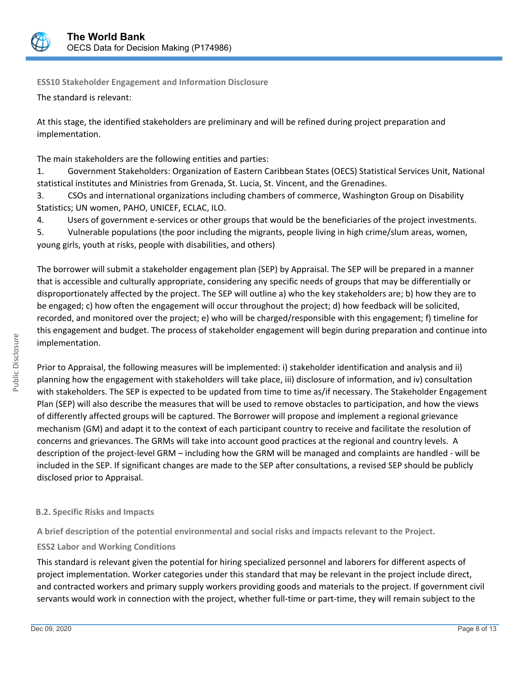

**ESS10 Stakeholder Engagement and Information Disclosure**

The standard is relevant:

At this stage, the identified stakeholders are preliminary and will be refined during project preparation and implementation.

The main stakeholders are the following entities and parties:

1. Government Stakeholders: Organization of Eastern Caribbean States (OECS) Statistical Services Unit, National statistical institutes and Ministries from Grenada, St. Lucia, St. Vincent, and the Grenadines.

3. CSOs and international organizations including chambers of commerce, Washington Group on Disability Statistics; UN women, PAHO, UNICEF, ECLAC, ILO.

4. Users of government e-services or other groups that would be the beneficiaries of the project investments.

5. Vulnerable populations (the poor including the migrants, people living in high crime/slum areas, women, young girls, youth at risks, people with disabilities, and others)

The borrower will submit a stakeholder engagement plan (SEP) by Appraisal. The SEP will be prepared in a manner that is accessible and culturally appropriate, considering any specific needs of groups that may be differentially or disproportionately affected by the project. The SEP will outline a) who the key stakeholders are; b) how they are to be engaged; c) how often the engagement will occur throughout the project; d) how feedback will be solicited, recorded, and monitored over the project; e) who will be charged/responsible with this engagement; f) timeline for this engagement and budget. The process of stakeholder engagement will begin during preparation and continue into implementation.

Prior to Appraisal, the following measures will be implemented: i) stakeholder identification and analysis and ii) planning how the engagement with stakeholders will take place, iii) disclosure of information, and iv) consultation with stakeholders. The SEP is expected to be updated from time to time as/if necessary. The Stakeholder Engagement Plan (SEP) will also describe the measures that will be used to remove obstacles to participation, and how the views of differently affected groups will be captured. The Borrower will propose and implement a regional grievance mechanism (GM) and adapt it to the context of each participant country to receive and facilitate the resolution of concerns and grievances. The GRMs will take into account good practices at the regional and country levels. A description of the project-level GRM – including how the GRM will be managed and complaints are handled - will be included in the SEP. If significant changes are made to the SEP after consultations, a revised SEP should be publicly disclosed prior to Appraisal.

## **B.2. Specific Risks and Impacts**

**A brief description of the potential environmental and social risks and impacts relevant to the Project.**

## **ESS2 Labor and Working Conditions**

This standard is relevant given the potential for hiring specialized personnel and laborers for different aspects of project implementation. Worker categories under this standard that may be relevant in the project include direct, and contracted workers and primary supply workers providing goods and materials to the project. If government civil servants would work in connection with the project, whether full-time or part-time, they will remain subject to the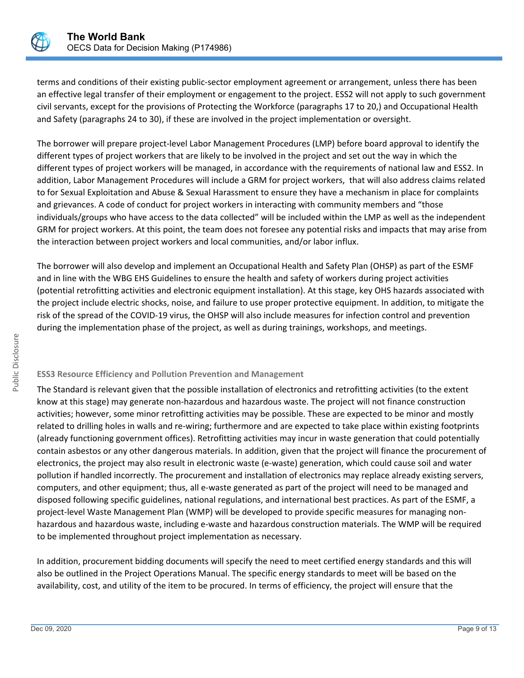

terms and conditions of their existing public-sector employment agreement or arrangement, unless there has been an effective legal transfer of their employment or engagement to the project. ESS2 will not apply to such government civil servants, except for the provisions of Protecting the Workforce (paragraphs 17 to 20,) and Occupational Health and Safety (paragraphs 24 to 30), if these are involved in the project implementation or oversight.

The borrower will prepare project-level Labor Management Procedures (LMP) before board approval to identify the different types of project workers that are likely to be involved in the project and set out the way in which the different types of project workers will be managed, in accordance with the requirements of national law and ESS2. In addition, Labor Management Procedures will include a GRM for project workers, that will also address claims related to for Sexual Exploitation and Abuse & Sexual Harassment to ensure they have a mechanism in place for complaints and grievances. A code of conduct for project workers in interacting with community members and "those individuals/groups who have access to the data collected" will be included within the LMP as well as the independent GRM for project workers. At this point, the team does not foresee any potential risks and impacts that may arise from the interaction between project workers and local communities, and/or labor influx.

The borrower will also develop and implement an Occupational Health and Safety Plan (OHSP) as part of the ESMF and in line with the WBG EHS Guidelines to ensure the health and safety of workers during project activities (potential retrofitting activities and electronic equipment installation). At this stage, key OHS hazards associated with the project include electric shocks, noise, and failure to use proper protective equipment. In addition, to mitigate the risk of the spread of the COVID-19 virus, the OHSP will also include measures for infection control and prevention during the implementation phase of the project, as well as during trainings, workshops, and meetings.

## **ESS3 Resource Efficiency and Pollution Prevention and Management**

The Standard is relevant given that the possible installation of electronics and retrofitting activities (to the extent know at this stage) may generate non-hazardous and hazardous waste. The project will not finance construction activities; however, some minor retrofitting activities may be possible. These are expected to be minor and mostly related to drilling holes in walls and re-wiring; furthermore and are expected to take place within existing footprints (already functioning government offices). Retrofitting activities may incur in waste generation that could potentially contain asbestos or any other dangerous materials. In addition, given that the project will finance the procurement of electronics, the project may also result in electronic waste (e-waste) generation, which could cause soil and water pollution if handled incorrectly. The procurement and installation of electronics may replace already existing servers, computers, and other equipment; thus, all e-waste generated as part of the project will need to be managed and disposed following specific guidelines, national regulations, and international best practices. As part of the ESMF, a project-level Waste Management Plan (WMP) will be developed to provide specific measures for managing nonhazardous and hazardous waste, including e-waste and hazardous construction materials. The WMP will be required to be implemented throughout project implementation as necessary.

In addition, procurement bidding documents will specify the need to meet certified energy standards and this will also be outlined in the Project Operations Manual. The specific energy standards to meet will be based on the availability, cost, and utility of the item to be procured. In terms of efficiency, the project will ensure that the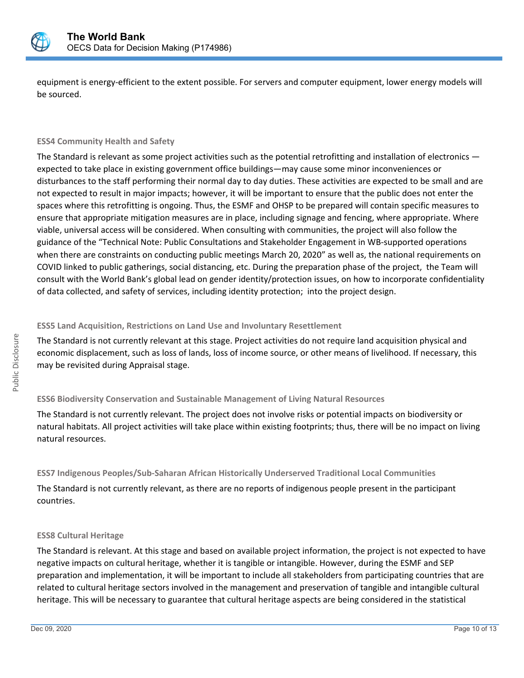

equipment is energy-efficient to the extent possible. For servers and computer equipment, lower energy models will be sourced.

## **ESS4 Community Health and Safety**

The Standard is relevant as some project activities such as the potential retrofitting and installation of electronics expected to take place in existing government office buildings—may cause some minor inconveniences or disturbances to the staff performing their normal day to day duties. These activities are expected to be small and are not expected to result in major impacts; however, it will be important to ensure that the public does not enter the spaces where this retrofitting is ongoing. Thus, the ESMF and OHSP to be prepared will contain specific measures to ensure that appropriate mitigation measures are in place, including signage and fencing, where appropriate. Where viable, universal access will be considered. When consulting with communities, the project will also follow the guidance of the "Technical Note: Public Consultations and Stakeholder Engagement in WB-supported operations when there are constraints on conducting public meetings March 20, 2020" as well as, the national requirements on COVID linked to public gatherings, social distancing, etc. During the preparation phase of the project, the Team will consult with the World Bank's global lead on gender identity/protection issues, on how to incorporate confidentiality of data collected, and safety of services, including identity protection; into the project design.

#### **ESS5 Land Acquisition, Restrictions on Land Use and Involuntary Resettlement**

The Standard is not currently relevant at this stage. Project activities do not require land acquisition physical and economic displacement, such as loss of lands, loss of income source, or other means of livelihood. If necessary, this may be revisited during Appraisal stage.

## **ESS6 Biodiversity Conservation and Sustainable Management of Living Natural Resources**

The Standard is not currently relevant. The project does not involve risks or potential impacts on biodiversity or natural habitats. All project activities will take place within existing footprints; thus, there will be no impact on living natural resources.

## **ESS7 Indigenous Peoples/Sub-Saharan African Historically Underserved Traditional Local Communities**

The Standard is not currently relevant, as there are no reports of indigenous people present in the participant countries.

## **ESS8 Cultural Heritage**

The Standard is relevant. At this stage and based on available project information, the project is not expected to have negative impacts on cultural heritage, whether it is tangible or intangible. However, during the ESMF and SEP preparation and implementation, it will be important to include all stakeholders from participating countries that are related to cultural heritage sectors involved in the management and preservation of tangible and intangible cultural heritage. This will be necessary to guarantee that cultural heritage aspects are being considered in the statistical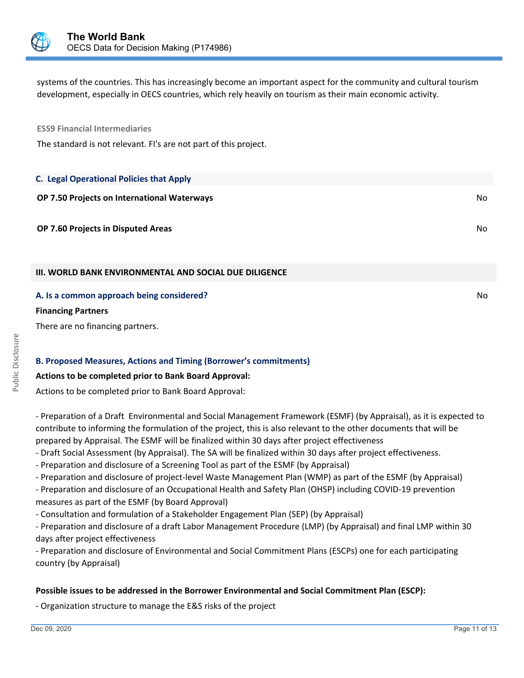

systems of the countries. This has increasingly become an important aspect for the community and cultural tourism development, especially in OECS countries, which rely heavily on tourism as their main economic activity.

**ESS9 Financial Intermediaries**

The standard is not relevant. FI's are not part of this project.

| <b>C. Legal Operational Policies that Apply</b>                                                            |     |
|------------------------------------------------------------------------------------------------------------|-----|
| <b>OP 7.50 Projects on International Waterways</b>                                                         | No. |
| <b>OP 7.60 Projects in Disputed Areas</b>                                                                  | No. |
| III. WORLD BANK ENVIRONMENTAL AND SOCIAL DUE DILIGENCE                                                     |     |
| A. Is a common approach being considered?<br><b>Financing Partners</b><br>There are no financing partners. | No. |

## **B. Proposed Measures, Actions and Timing (Borrower's commitments)**

## **Actions to be completed prior to Bank Board Approval:**

Actions to be completed prior to Bank Board Approval:

- Preparation of a Draft Environmental and Social Management Framework (ESMF) (by Appraisal), as it is expected to contribute to informing the formulation of the project, this is also relevant to the other documents that will be prepared by Appraisal. The ESMF will be finalized within 30 days after project effectiveness

- Draft Social Assessment (by Appraisal). The SA will be finalized within 30 days after project effectiveness.

- Preparation and disclosure of a Screening Tool as part of the ESMF (by Appraisal)

- Preparation and disclosure of project-level Waste Management Plan (WMP) as part of the ESMF (by Appraisal)

- Preparation and disclosure of an Occupational Health and Safety Plan (OHSP) including COVID-19 prevention measures as part of the ESMF (by Board Approval)

- Consultation and formulation of a Stakeholder Engagement Plan (SEP) (by Appraisal)

- Preparation and disclosure of a draft Labor Management Procedure (LMP) (by Appraisal) and final LMP within 30 days after project effectiveness

- Preparation and disclosure of Environmental and Social Commitment Plans (ESCPs) one for each participating country (by Appraisal)

## **Possible issues to be addressed in the Borrower Environmental and Social Commitment Plan (ESCP):**

- Organization structure to manage the E&S risks of the project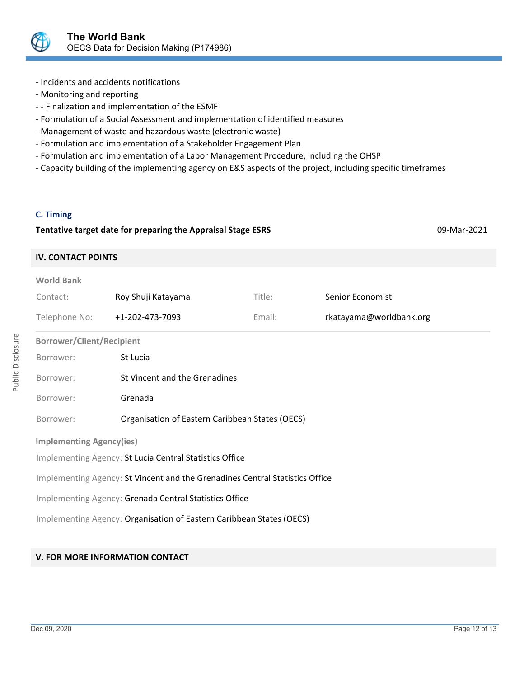

- Incidents and accidents notifications
- Monitoring and reporting
- - Finalization and implementation of the ESMF
- Formulation of a Social Assessment and implementation of identified measures
- Management of waste and hazardous waste (electronic waste)
- Formulation and implementation of a Stakeholder Engagement Plan
- Formulation and implementation of a Labor Management Procedure, including the OHSP
- Capacity building of the implementing agency on E&S aspects of the project, including specific timeframes

#### **C. Timing**

#### **Tentative target date for preparing the Appraisal Stage ESRS** 09-Mar-2021

#### **IV. CONTACT POINTS**

| <b>World Bank</b>                                                            |                                                 |        |                         |  |  |
|------------------------------------------------------------------------------|-------------------------------------------------|--------|-------------------------|--|--|
| Contact:                                                                     | Roy Shuji Katayama                              | Title: | Senior Economist        |  |  |
| Telephone No:                                                                | +1-202-473-7093                                 | Email: | rkatayama@worldbank.org |  |  |
| <b>Borrower/Client/Recipient</b>                                             |                                                 |        |                         |  |  |
| Borrower:                                                                    | St Lucia                                        |        |                         |  |  |
| Borrower:                                                                    | St Vincent and the Grenadines                   |        |                         |  |  |
| Borrower:                                                                    | Grenada                                         |        |                         |  |  |
| Borrower:                                                                    | Organisation of Eastern Caribbean States (OECS) |        |                         |  |  |
| <b>Implementing Agency(ies)</b>                                              |                                                 |        |                         |  |  |
| Implementing Agency: St Lucia Central Statistics Office                      |                                                 |        |                         |  |  |
| Implementing Agency: St Vincent and the Grenadines Central Statistics Office |                                                 |        |                         |  |  |
| Implementing Agency: Grenada Central Statistics Office                       |                                                 |        |                         |  |  |
| Implementing Agency: Organisation of Eastern Caribbean States (OECS)         |                                                 |        |                         |  |  |

## **V. FOR MORE INFORMATION CONTACT**